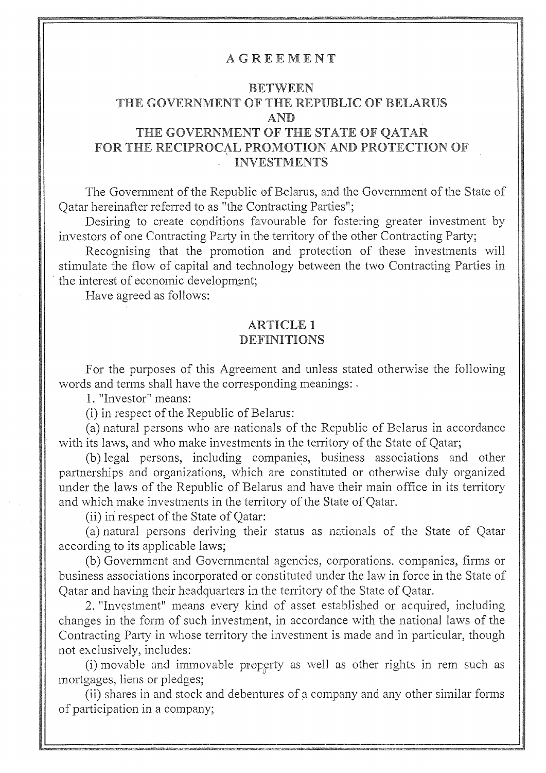#### AGREEMENT

# BETWEEN THE GOVERNMENT OF THE REPUBLIC OF BELARUS AND

# THE GOVERNMENT OF THE STATE OF QATAR FOR THE RECIPROCAL PROMOTION AND PROTECTION OF ' INVESTMENTS

The Government of the Republic of Belarus, and the Govermnent of the State of Qatar hereinafter referred to as "the Contracting Parties";

Desiring to create conditions favourable for fostering greater investment by investors of one Contracting Party in the territory of the other Contracting Party;

Recognising that the promotion and protection of these investments will stimulate the flow of capital and technology between the two Contracting Parties in the interest of economic development:

Have agreed as follows:

#### ARTICLE 1 **DEFINITIONS**

For the purposes of this Agreement and unless stated otherwise the following words and terms shall have the corresponding meanings: -

1. "Investor" means:

(i) in respect of the Republic of Belarus:

(a) natural persons who are nationals of the Republic of Belarus in accordance with its laws, and who make investments in the territory of the State of Qatar;

(b) legal persons, including companies, business associations and other partnerships and organizations, which are constituted or otherwise duly organized under the laws of the Republic of Belarus and have their main office in its territory and which make investments in the territory of the State of Qatar.

(ii) in respect of the State of Qatar:

(a) natural persons deriving their status as nationals of the State of Qatar according to its applicable laws;

(b) Government and Governmental agencies, corporations. companies, firms or business associations incorporated or constituted under the law in force in the State of Qatar and having their headquarters in the territory of the State of Qatar.

2. "Investment" means every kind of asset established or acquired, including changes in the form of such investment, in accordance with the national laws of the Contracting Party in whose territory the investment is made and in particular, though not exclusively, includes:

(i) movable and immovable property as well as other rights in rem such as mortgages, liens or pledges;

(ii) shares in and stock and debentures of a company and any other similar forms of participation in a company;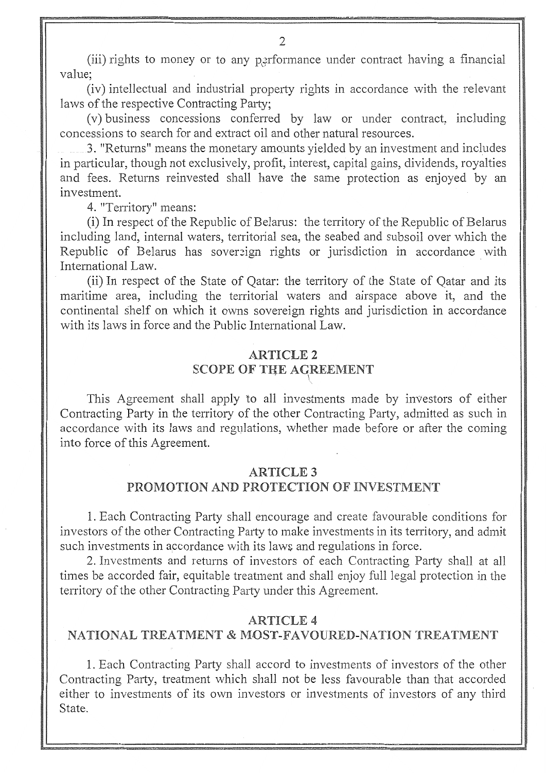(iii) rights to money or to any performance under contract having a financial value;

(iv) intellectual and industrial property rights in accordance with the relevant laws of the respective Contracting Party;

(v) business concessions conferred by law or under contract, including concessions to search for and extract oil and other natural resources.

3. "Returns" means the monetary amounts yielded by an investment and includes in particular, though not exclusively, profit, interest, capital gains, dividends, royalties and fees. Returns reinvested shall have the same protection as enjoyed by an investment.

4. "Territory" means:

(i) In respect of the Republic of Belarus: the territory of the Republic of Belarus including land, internal waters, territorial sea, the seabed and subsoil over which the Republic of Belarus has sovereign rights or jurisdiction in accordance with International Law.

(ii) In respect of the State of Qatar: the territory of the State of Qatar and its maritime area, including the territorial waters and airspace above it, and the continental shelf on which it owns sovereign rights and jurisdiction in accordance with its laws in force and the Public International Law.

## ARTICLE2 SCOPE OF THE AGREEMENT

This Agreement shall apply to all investments made by investors of either Contracting Party in the territory of the other Contracting Party, admitted as such in accordance with its laws and regulations, whether made before or after the coming into force of this Agreement.

#### ARTICLE3

#### PROMOTION AND PROTECTION OF INVESTMENT

1. Each Contracting Party shall encourage and create favourable conditions for investors of the other Contracting Party to make investments in its territory, and admit such investments in accordance with its laws and regulations in force.

2. Investments and returns of investors of each Contracting Party shall at all times be accorded fair, equitable treatment and shall enjoy full legal protection in the territory of the other Contracting Party under this Agreement.

#### ARTICLE4

#### NATIONAL TREATMENT & MOST-FAVOURED-NATION TREATMENT

1. Each Contracting Party shall accord to investments of investors of the other Contracting Party, treatment which shall not be less favourable than that accorded either to investments of its own investors or investments of investors of any third State.

2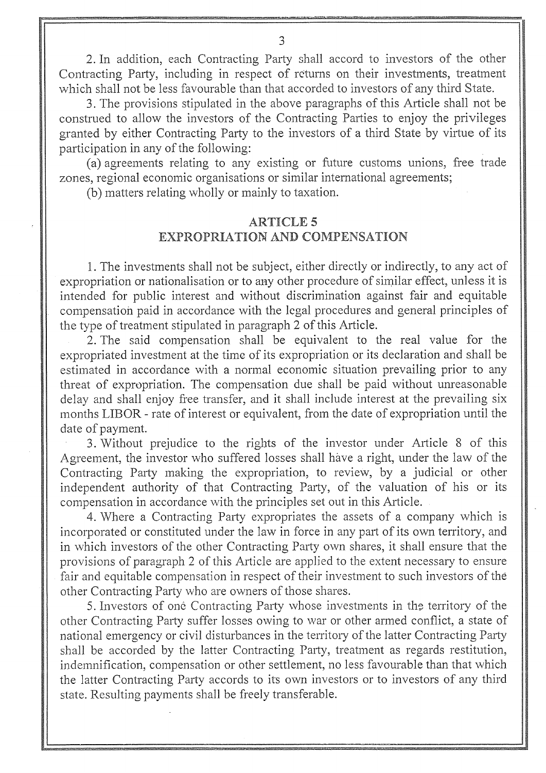2. In addition, each Contracting Party shall accord to investors of the other Contracting Party, including in respect of returns on their investments, treatment which shall not be less favourable than that accorded to investors of any third State.

3. The provisions stipulated in the above paragraphs of this Article shall not be construed to allow the investors of the Contracting Parties to enjoy the privileges granted by either Contracting Party to the investors of a third State by virtue of its participation in any of the following:

(a) agreements relating to any existing or future customs unions, free trade zones, regional economic organisations or similar international agreements;

(b) matters relating wholly or mainly to taxation.

## ARTICLES EXPROPRIATION AND COMPENSATION

1. The investments shall not be subject, either directly or indirectly, to any act of expropriation or nationalisation or to any other procedure of similar effect, unless it is intended for public interest and without discrimination against fair and equitable compensation paid in accordance with the legal procedures and general principles of the type of treatment stipulated in paragraph 2 of this Article,

2. The said compensation shall be equivalent to the real value for the expropriated investment at the time of its expropriation or its declaration and shall be estimated in accordance with a normal economic situation prevailing prior to any threat of expropriation. The compensation due shall be paid without unreasonable delay and shall enjoy free transfer, and it shall include interest at the prevailing six months LIBOR - rate of interest or equivalent, from the date of expropriation until the date of payment.

3. Without prejudice to the rights of the investor under Article 8 of this Agreement, the investor who suffered losses shall have a right, under the law of the Contracting Party making the expropriation, to review, by a judicial or other independent authority of that Contracting Party, of the valuation of his or its compensation in accordance with the principles set out in this Article,

4. Where a Contracting Party expropriates the assets of a company which is incorporated or constituted under the law in force in any part of its own territory, and in which investors of the other Contracting Party own shares, it shall ensure that the provisions of paragraph 2 of this Article are applied to the extent necessary to ensure fair and equitable compensation in respect of their investment to such investors of the other Contracting Party who are owners of those shares.

5. Investors of one Contracting Party whose investments in the territory of the other Contracting Party suffer losses owing to war or other armed conflict, a state of national emergency or civil disturbances in the territory of the latter Contracting Party shall be accorded by the latter Contracting Party, treatment as regards restitution, indemnification, compensation or other settlement, no less favourable than that which the latter Contracting Party accords to its own investors or to investors of any third state. Resulting payments shall be freely transferable.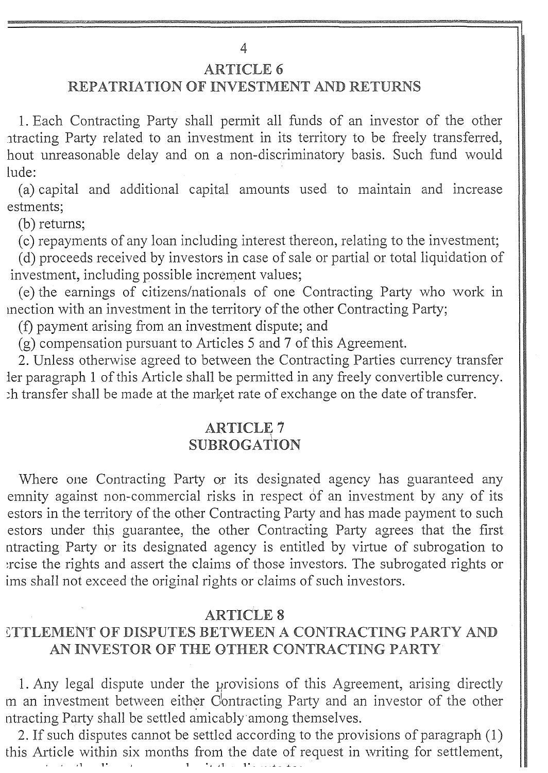4

#### **ARTICLE 6**

# REPATRIATION OF INVESTMENT AND RETURNS

1. Each Contracting Party shall permit all funds of an investor of the other .itracting Party related to an investment in its territory to be freely transferred, hout unreasonable delay and on a non-discriminatory basis. Such fund would lude:

(a) capital and additional capital amounts used to maintain and increase estments;

(b) returns;

( c) repayments of any loan including interest thereon, relating to the investment;

( d) proceeds received by investors in case of sale or partial or total liquidation of investment, including possible increment values;

(e) the earnings of citizens/nationals of one Contracting Party who work in mection with an investment in the territory of the other Contracting Party;

(f) payment arising from an investment dispute; and

(g) compensation pursuant to Articles 5 and 7 of this Agreement.

2. Unless otherwise agreed to between the Contracting Parties currency transfer ler paragraph 1 of this Article shall be permitted in any freely convertible currency. .h transfer shall be made at the market rate of exchange on the date of transfer.

## **ARTICLE 7**  ${\rm SUBROGATIO}$

Where one Contracting Party or its designated agency has guaranteed any emnity against non-commercial risks in respect of an investment by any of its estors in the territory of the other Contracting Party and has made payment to such estors under this guarantee, the other Contracting Party agrees that the first ntracting Party or its designated agency is entitled by virtue of subrogation to .rcise the rights and assert the claims of those investors. The subrogated rights or ims shall not exceed the original rights or claims of such investors.

#### **ARTICLE 8**

# CTTLEMENT OF DISPUTES BETWEEN A CONTRACTING PARTY AND AN INVESTOR OF THE OTHER CONTRACTING PARTY

1. Any legal dispute under the provisions of this Agreement, arising directly m an investment between either Contracting Party and an investor of the other ntracting Party shall be settled amicably among themselves.

2. If such disputes cannot be settled according to the provisions of paragraph (1) this Article within six months from the date of request in writing for settlement, *' ' I* 1 1. 1 • J J 1 1. \_ \_ J\_ \_ \_.I\_ \_\_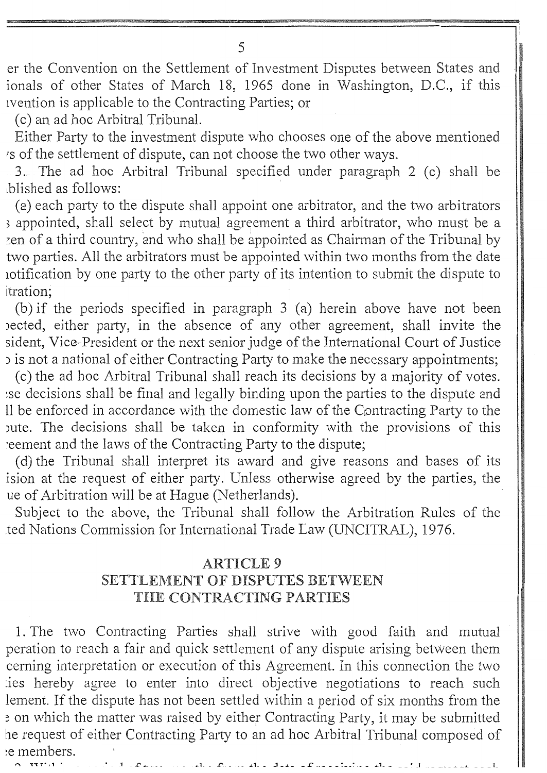er the Convention on the Settlement of Investment Disputes between States and ionals of other States of March 18, 1965 done in Washington, D.C., if this ivention is applicable to the Contracting Parties; or

( c) an ad hoc Arbitral Tribunal.

Either Party to the investment dispute who chooses one of the above mentioned *rs* of the settlement of dispute, can not choose the two other ways.

3. The ad hoc Arbitral Tribunal specified under paragraph 2 (c) shall be .blished as follows: ·

(a) each party to the dispute shall appoint one arbitrator, and the two arbitrators <sup>3</sup>appointed, shall select by mutual agreement a third arbitrator, who must be a zen of a third country, and who shall be appointed as Chairman of the Tribunal by two parties. All the arbitrators must be appointed within two months from the date iotification by one party to the other party of its intention to submit the dispute to itration;

(b) if the periods specified in paragraph 3 (a) herein above have not been oected, either party, in the absence of any other agreement, shall invite the sident, Vice-President or the next senior judge of the International Court of Justice ) is not a national of either Contracting Party to make the necessary appointments;

( c) the ad hoc Arbitral Tribunal shall reach its decisions by a majority of votes. -se decisions shall be final and legally binding upon the parties to the dispute and 11 be enforced in accordance with the domestic law of the Contracting Party to the pute. The decisions shall be taken in conformity with the provisions of this .eement and the laws of the Contracting Party to the dispute;

( d) the Tribunal shall interpret its award and give reasons and bases of its ision at the request of either party, Unless otherwise agreed by the parties, the ue of Arbitration will be at Hague (Netherlands).

Subject to the above, the Tribunal shall follow the Arbitration Rules of the .ted Nations Commission for International Trade Law (UNCITRAL), 1976.

## ARTICLE9 SETTLEMENT OF DISPUTES BETWEEN THE CONTRACTING PARTIES

1. The two Contracting Parties shall strive with good faith and mutual peration to reach a fair and quick settlement of any dispute arising between them cerning interpretation or execution of this Agreement. In this connection the two :ies hereby agree to enter into direct objective negotiations to reach such lement. If the dispute has not been settled within a period of six months from the ~ on which the matter was raised by either Contracting Party, it may be submitted he request of either Contracting Party to an ad hoc Arbitral Tribunal composed of ~e members.

 $1. \cdot C. \cdot ... \cdot A. \cdot A. \cdot A. \cdot A.$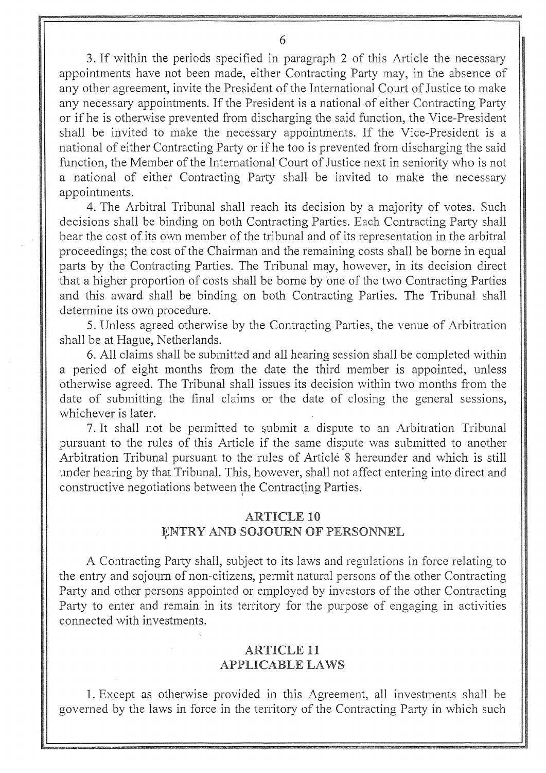3. If within the periods specified in paragraph 2 of this Article the necessary appointments have not been made, either Contracting Party may, in the absence of any other agreement, invite the President of the International Court of Justice to make any necessary appointments. If the President is a national of either Contracting Party or if he is otherwise prevented from discharging the said function, the Vice-President shall be invited to make the necessary appointments. If the Vice-President is a national of either Contracting Party or if he too is prevented from discharging the said function, the Member of the International Court of Justice next in seniority who is not a national of either Contracting Party shall be invited to make the necessary appointments.

4. The Arbitral Tribunal shall reach its decision by a majority of votes. Such decisions shall be binding on both Contracting Parties, Each Contracting Party shall bear the cost of its own member of the tribunal and of its representation in the arbitral proceedings; the cost of the Chairman and the remaining costs shall be borne in equal parts by the Contracting Parties. The Tribunal may, however, in its decision direct that a higher proportion of costs shall be borne by one of the two Contracting Parties and this award shall be binding on both Contracting Parties. The Tribunal shall determine its own procedure.

5. Unless agreed otherwise by the Contracting Parties, the venue of Arbitration shall be at Hague, Netherlands.

6. All claims shall be submitted and all hearing session shall be completed within a period of eight months from the date the third member is appointed, unless otherwise agreed. The Tribunal shall issues its decision within two months from the date of submitting the final claims or the date of closing the general sessions, whichever is later.

7. It shall not be permitted to submit a dispute to an Arbitration Tribunal pursuant to the rules of this Article if the same dispute was submitted to another Arbitration Tribunal pursuant to the rules of Article 8 hereunder and which is still under hearing by that Tribunal. This, however, shall not affect entering into direct and constructive negotiations between the Contracting Parties.

# ARTICLE 10

# ENTRY AND SOJOURN OF PERSONNEL

I

A Contracting Party shall, subject to its laws and regulations in force relating to the entry and sojourn of non-citizens, permit natural persons of the other Contracting Party and other persons appointed or employed by investors of the other Contracting Party to enter and remain in its territory for the purpose of engaging in activities connected with investments.

## ARTICLE 11 APPLICABLE LAWS

1. Except as otherwise provided in this Agreement, all investments shall be governed by the laws in force in the territory of the Contracting Party in which such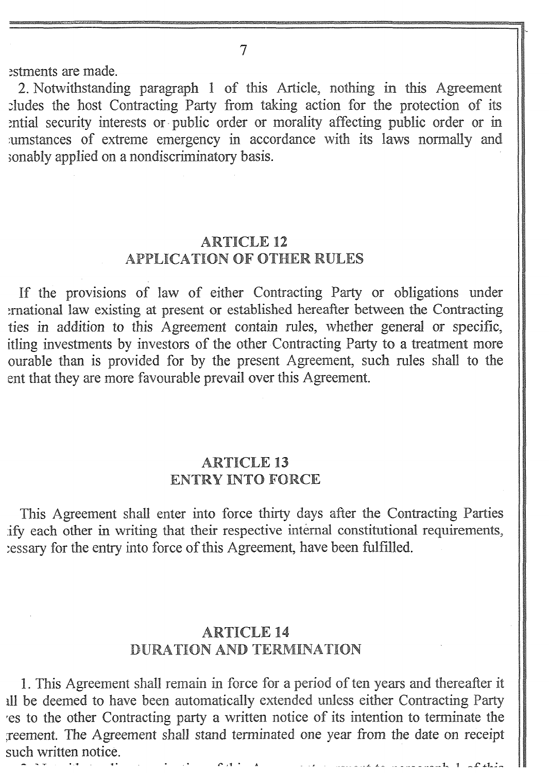7

estments are made.

2. Notwithstanding paragraph 1 of this Article, nothing in this Agreement eludes the host Contracting Party from taking action for the protection of its ential security interests or public order or morality affecting public order or in .umstances of extreme emergency in accordance with its laws normally and sonably applied on a nondiscriminatory basis.

## ARTICLE 12 APPLICATION OF OTHER RULES

If the provisions of law of either Contracting Party or obligations under .mational law existing at present or established hereafter between the Contracting ties in addition to this Agreement contain rules, whether general or specific, itling investments by investors of the other Contracting Party to a treatment more ourable than is provided for by the present Agreement, such rules shall to the ent that they are more favourable prevail over this Agreement.

#### ARTICLE 13 ENTRY INTO FORCE

This Agreement shall enter into force thirty days after the Contracting Parties .ify each other in writing that their respective internal constitutional requirements, .essary for the entry into force of this Agreement, have been fulfilled.

## ARTICLE 14 DURATION AND TERMINATION

1. This Agreement shall remain in force for a period of ten years and thereafter it 111 be deemed to have been automatically extended unless either Contracting Party 'es to the other Contracting party a written notice of its intention to terminate the .reement, The Agreement shall stand terminated one year from the date on receipt such written notice.

*- - -- - - - \_L \_L - - - - ·- - - -- - --* 1~ 1 - .£" *.J.\_* 1~.: .......